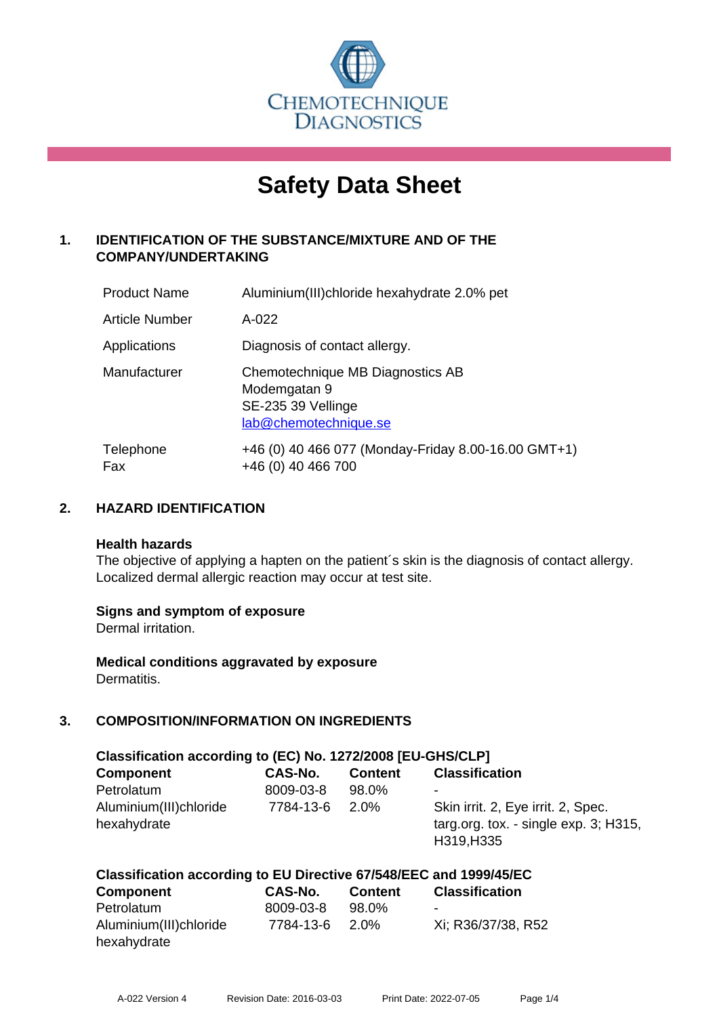

# **Safety Data Sheet**

# **1. IDENTIFICATION OF THE SUBSTANCE/MIXTURE AND OF THE COMPANY/UNDERTAKING**

| <b>Product Name</b>   | Aluminium(III)chloride hexahydrate 2.0% pet                                                     |
|-----------------------|-------------------------------------------------------------------------------------------------|
| <b>Article Number</b> | $A-022$                                                                                         |
| Applications          | Diagnosis of contact allergy.                                                                   |
| Manufacturer          | Chemotechnique MB Diagnostics AB<br>Modemgatan 9<br>SE-235 39 Vellinge<br>lab@chemotechnique.se |
| Telephone<br>Fax      | +46 (0) 40 466 077 (Monday-Friday 8.00-16.00 GMT+1)<br>+46 (0) 40 466 700                       |

#### **2. HAZARD IDENTIFICATION**

#### **Health hazards**

The objective of applying a hapten on the patient's skin is the diagnosis of contact allergy. Localized dermal allergic reaction may occur at test site.

#### **Signs and symptom of exposure**

Dermal irritation.

**Medical conditions aggravated by exposure** Dermatitis.

# **3. COMPOSITION/INFORMATION ON INGREDIENTS**

| Classification according to (EC) No. 1272/2008 [EU-GHS/CLP] |           |                |                                                                                              |  |  |
|-------------------------------------------------------------|-----------|----------------|----------------------------------------------------------------------------------------------|--|--|
| <b>Component</b>                                            | CAS-No.   | <b>Content</b> | <b>Classification</b>                                                                        |  |  |
| Petrolatum                                                  | 8009-03-8 | 98.0%          | $\blacksquare$                                                                               |  |  |
| Aluminium(III)chloride<br>hexahydrate                       | 7784-13-6 | 2.0%           | Skin irrit. 2, Eye irrit. 2, Spec.<br>targ.org. tox. - single $exp. 3$ ; H315,<br>H319, H335 |  |  |

#### **Classification according to EU Directive 67/548/EEC and 1999/45/EC**

| <b>Component</b>       | <b>CAS-No.</b> | <b>Content</b> | <b>Classification</b> |
|------------------------|----------------|----------------|-----------------------|
| Petrolatum             | 8009-03-8      | 98.0%          | $\blacksquare$        |
| Aluminium(III)chloride | 7784-13-6      | 2.0%           | Xi: R36/37/38, R52    |
| hexahydrate            |                |                |                       |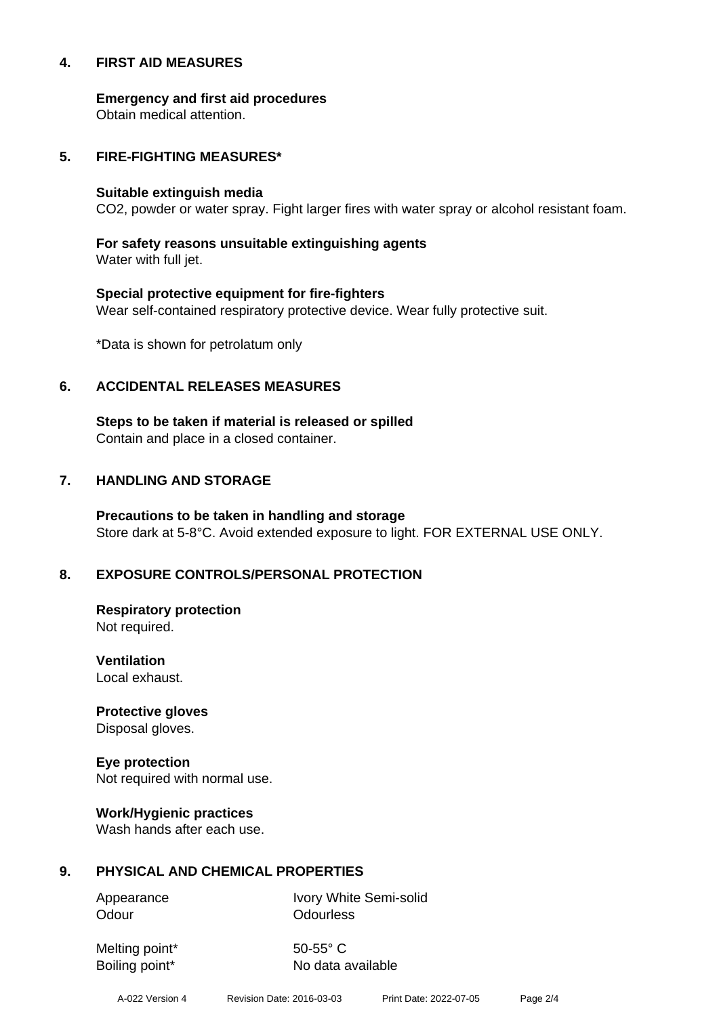#### **4. FIRST AID MEASURES**

**Emergency and first aid procedures**

Obtain medical attention.

#### **5. FIRE-FIGHTING MEASURES\***

#### **Suitable extinguish media**

CO2, powder or water spray. Fight larger fires with water spray or alcohol resistant foam.

# **For safety reasons unsuitable extinguishing agents**

Water with full jet.

# **Special protective equipment for fire-fighters** Wear self-contained respiratory protective device. Wear fully protective suit.

\*Data is shown for petrolatum only

#### **6. ACCIDENTAL RELEASES MEASURES**

**Steps to be taken if material is released or spilled** Contain and place in a closed container.

# **7. HANDLING AND STORAGE**

**Precautions to be taken in handling and storage** Store dark at 5-8°C. Avoid extended exposure to light. FOR EXTERNAL USE ONLY.

# **8. EXPOSURE CONTROLS/PERSONAL PROTECTION**

**Respiratory protection** Not required.

**Ventilation** Local exhaust.

**Protective gloves** Disposal gloves.

# **Eye protection**

Not required with normal use.

#### **Work/Hygienic practices**

Wash hands after each use.

#### **9. PHYSICAL AND CHEMICAL PROPERTIES**

Odour **Odourless** 

Appearance Ivory White Semi-solid

Melting point\* 50-55° C

Boiling point\* No data available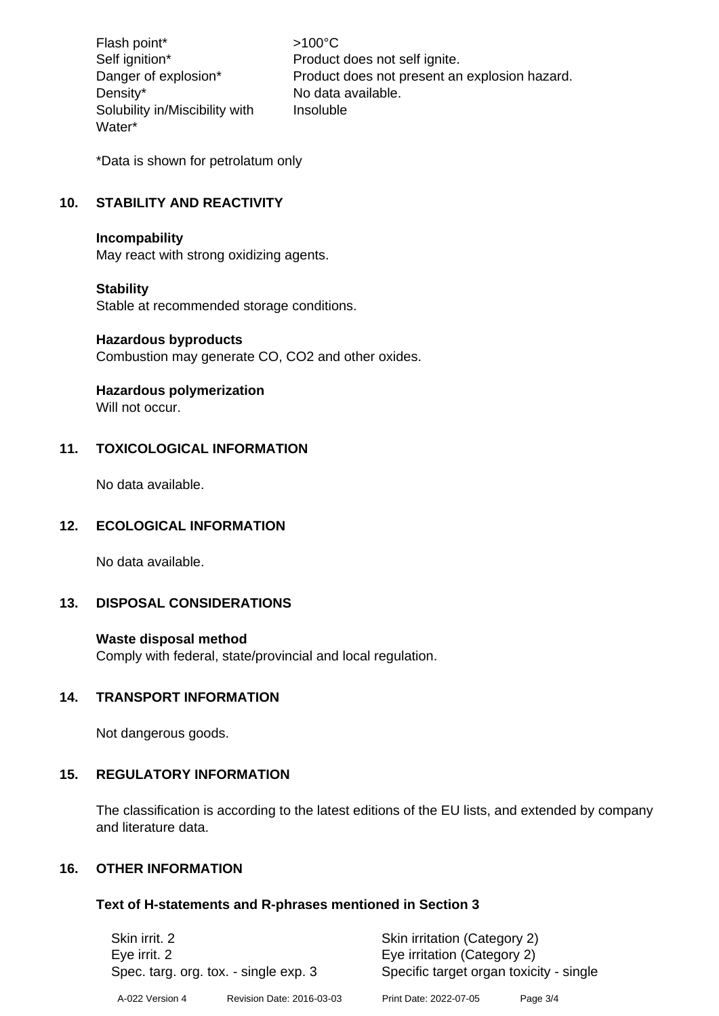Flash point\*  $>100^{\circ}$ C Density\* No data available. Solubility in/Miscibility with Water\*

Self ignition\* Product does not self ignite. Danger of explosion\* Product does not present an explosion hazard. Insoluble

\*Data is shown for petrolatum only

# **10. STABILITY AND REACTIVITY**

#### **Incompability**

May react with strong oxidizing agents.

#### **Stability**

Stable at recommended storage conditions.

#### **Hazardous byproducts**

Combustion may generate CO, CO2 and other oxides.

#### **Hazardous polymerization**

Will not occur.

#### **11. TOXICOLOGICAL INFORMATION**

No data available.

#### **12. ECOLOGICAL INFORMATION**

No data available.

#### **13. DISPOSAL CONSIDERATIONS**

#### **Waste disposal method**

Comply with federal, state/provincial and local regulation.

#### **14. TRANSPORT INFORMATION**

Not dangerous goods.

#### **15. REGULATORY INFORMATION**

The classification is according to the latest editions of the EU lists, and extended by company and literature data.

# **16. OTHER INFORMATION**

#### **Text of H-statements and R-phrases mentioned in Section 3**

| Skin irrit, 2<br>Eve irrit. 2<br>Spec. targ. org. tox. - single exp. 3 |                           | Skin irritation (Category 2)<br>Eye irritation (Category 2)<br>Specific target organ toxicity - single |          |
|------------------------------------------------------------------------|---------------------------|--------------------------------------------------------------------------------------------------------|----------|
| A-022 Version 4                                                        | Revision Date: 2016-03-03 | Print Date: 2022-07-05                                                                                 | Page 3/4 |